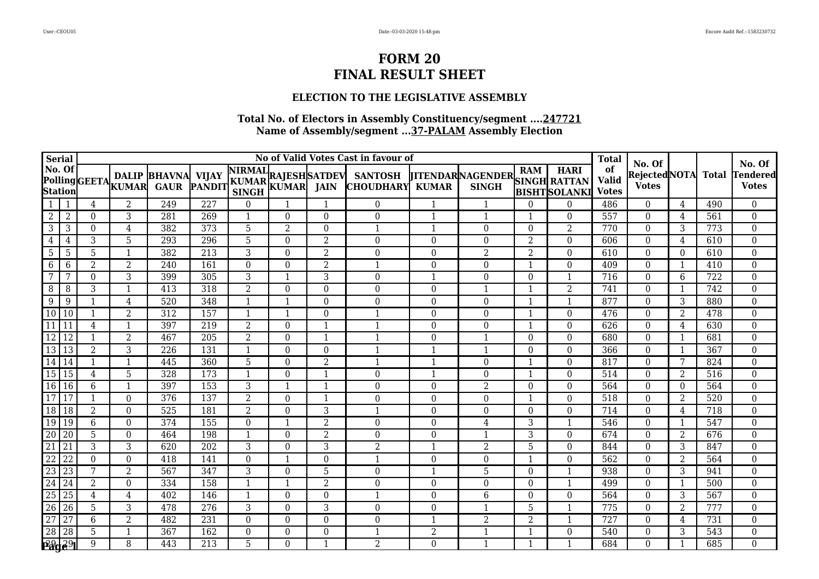### **ELECTION TO THE LEGISLATIVE ASSEMBLY**

| <b>Serial</b>                                |                 |                |                  |                                               |                  |                  |                |                | No of Valid Votes Cast in favour of                         |                |                                               |                         |                         | <b>Total</b>                       |                                         |                |                  |                                           |
|----------------------------------------------|-----------------|----------------|------------------|-----------------------------------------------|------------------|------------------|----------------|----------------|-------------------------------------------------------------|----------------|-----------------------------------------------|-------------------------|-------------------------|------------------------------------|-----------------------------------------|----------------|------------------|-------------------------------------------|
| No. Of                                       |                 |                |                  | DALIP BHAVNA VIJAY<br>PollingGEETA KUMAR GAUR |                  |                  |                |                | PANDIT KUMAR KUMAR JAIN CHOUDHARV<br><b>CHOUDHARY KUMAR</b> |                | TITENDARNAGENDER SINGH RATTAN<br><b>SINGH</b> |                         | <b>BISHTSOLANKI</b>     | of<br><b>Valid</b><br><b>Votes</b> | No. Of<br>Rejected NOTA<br><b>Votes</b> |                | <b>Total</b>     | No. Of<br><b>Tendered</b><br><b>Votes</b> |
| 1                                            |                 | 4              | $\overline{2}$   | 249                                           | $\overline{227}$ | $\Omega$         |                |                | $\overline{0}$                                              |                |                                               | $\Omega$                | $\theta$                | 486                                | $\theta$                                | 4              | 490              | $\boldsymbol{0}$                          |
| $\overline{2}$                               | $\overline{2}$  | $\Omega$       | $\sqrt{3}$       | 281                                           | 269              | $\mathbf 1$      | $\Omega$       | $\Omega$       | 0                                                           |                | $\mathbf{1}$                                  | -1                      | $\Omega$                | 557                                | $\theta$                                | 4              | 561              | $\mathbf{0}$                              |
| 3                                            | 3               | $\Omega$       | $\overline{4}$   | 382                                           | 373              | $\overline{5}$   | $\overline{2}$ | $\Omega$       |                                                             |                | $\Omega$                                      | $\Omega$                | $\overline{2}$          | 770                                | $\theta$                                | 3              | 773              | $\mathbf{0}$                              |
| 4                                            | 4               | 3              | 5                | 293                                           | 296              | 5                | $\Omega$       | 2              | 0                                                           | $\Omega$       | $\Omega$                                      | $\overline{2}$          | $\Omega$                | 606                                | $\theta$                                | 4              | 610              | $\mathbf 0$                               |
| 5                                            | 5               | 5              |                  | 382                                           | 213              | 3                | $\Omega$       | $\overline{2}$ | 0                                                           | $\Omega$       | $\overline{2}$                                | $\overline{2}$          | $\Omega$                | 610                                | $\Omega$                                | 0              | 610              | $\boldsymbol{0}$                          |
| 6                                            | 6               | $\overline{2}$ | $\overline{2}$   | 240                                           | 161              | $\overline{0}$   | $\Omega$       | $\overline{2}$ |                                                             | $\Omega$       | $\overline{0}$                                | $\overline{1}$          | $\mathbf{0}$            | 409                                | $\theta$                                | $\mathbf{1}$   | 410              | $\overline{0}$                            |
| $7\phantom{.0}$                              | 7               | $\Omega$       | 3                | 399                                           | 305              | 3                |                | 3              | 0                                                           |                | $\Omega$                                      | $\Omega$                | $\mathbf{1}$            | 716                                | $\Omega$                                | 6              | $\overline{722}$ | $\mathbf{0}$                              |
| 8                                            | 8               | 3              | -1               | 413                                           | 318              | $\overline{2}$   | $\Omega$       | $\Omega$       | 0                                                           | $\Omega$       | $\mathbf{1}$                                  | -1                      | $\overline{2}$          | $\overline{741}$                   | $\theta$                                |                | 742              | $\boldsymbol{0}$                          |
| 9                                            | 9               |                | 4                | 520                                           | 348              | $\mathbf 1$      |                | $\Omega$       | $\theta$                                                    | $\Omega$       | $\Omega$                                      | $\mathbf{1}$            | $\overline{1}$          | 877                                | $\theta$                                | 3              | 880              | $\boldsymbol{0}$                          |
| 10                                           | 10              |                | $\overline{2}$   | 312                                           | 157              |                  |                | $\Omega$       |                                                             | $\Omega$       | $\Omega$                                      | -1                      | $\theta$                | 476                                | $\Omega$                                | $\overline{2}$ | 478              | $\boldsymbol{0}$                          |
| 11                                           | 11              | 4              | $\mathbf{1}$     | 397                                           | 219              | $\overline{2}$   | $\Omega$       | $\mathbf{1}$   |                                                             | $\Omega$       | $\Omega$                                      | $\mathbf{1}$            | $\mathbf{0}$            | 626                                | $\theta$                                | $\overline{4}$ | 630              | $\boldsymbol{0}$                          |
| 12                                           | 12              |                | $\overline{2}$   | 467                                           | 205              | 2                | $\Omega$       | -1             |                                                             | $\Omega$       | 1                                             | $\Omega$                | $\theta$                | 680                                | $\Omega$                                | -1             | 681              | $\boldsymbol{0}$                          |
| 13                                           | 13              | $\overline{2}$ | $\overline{3}$   | 226                                           | 131              | $\mathbf 1$      | $\Omega$       | $\Omega$       |                                                             |                | $\mathbf{1}$                                  | $\theta$                | $\theta$                | 366                                | $\theta$                                | $\mathbf{1}$   | 367              | $\mathbf 0$                               |
| 14                                           | 14              | $\mathbf 1$    | $\mathbf{1}$     | 445                                           | 360              | 5                | $\Omega$       | $\overline{2}$ |                                                             | $\mathbf 1$    | $\Omega$                                      | $\overline{\mathbf{1}}$ | $\theta$                | 817                                | $\Omega$                                | 7              | 824              | $\mathbf 0$                               |
| 15                                           | 15              | $\overline{4}$ | 5                | 328                                           | 173              | $\mathbf{1}$     | $\Omega$       | $\mathbf{1}$   | $\Omega$                                                    | $\mathbf{1}$   | $\Omega$                                      | $\mathbf{1}$            | $\theta$                | 514                                | $\theta$                                | $\overline{2}$ | 516              | $\mathbf 0$                               |
| 16                                           | 16              | 6              | 1                | 397                                           | 153              | 3                |                | $\mathbf 1$    | $\theta$                                                    | $\Omega$       | $\overline{2}$                                | $\Omega$                | $\theta$                | 564                                | $\theta$                                | $\Omega$       | 564              | $\boldsymbol{0}$                          |
| 17                                           | 17              |                | $\theta$         | 376                                           | 137              | $\overline{2}$   | $\theta$       | $\mathbf 1$    | $\Omega$                                                    | $\theta$       | $\Omega$                                      | $\mathbf 1$             | $\theta$                | 518                                | $\theta$                                | 2              | 520              | $\mathbf 0$                               |
| $\overline{18}$                              | $\overline{18}$ | $\overline{2}$ | $\boldsymbol{0}$ | 525                                           | 181              | $\overline{2}$   | $\Omega$       | 3              |                                                             | $\Omega$       | $\boldsymbol{0}$                              | $\theta$                | $\boldsymbol{0}$        | 714                                | $\theta$                                | 4              | $\overline{718}$ | $\boldsymbol{0}$                          |
| 19                                           | 19              | 6              | $\theta$         | 374                                           | 155              | $\Omega$         |                | $\overline{2}$ | $\overline{0}$                                              | $\Omega$       | 4                                             | 3                       | $\mathbf{1}$            | 546                                | $\theta$                                | $\overline{1}$ | 547              | $\mathbf 0$                               |
| 20                                           | 20              | 5              | $\overline{0}$   | 464                                           | 198              | -1               | $\Omega$       | $\overline{2}$ | $\theta$                                                    | $\Omega$       | 1                                             | 3                       | $\mathbf{0}$            | 674                                | $\theta$                                | $\overline{2}$ | 676              | $\mathbf{0}$                              |
| $\overline{21}$                              | $\overline{21}$ | 3              | $\overline{3}$   | 620                                           | $\overline{202}$ | 3                | $\Omega$       | $\overline{3}$ | $\overline{2}$                                              |                | $\overline{2}$                                | 5                       | $\mathbf{0}$            | 844                                | $\theta$                                | 3              | 847              | $\mathbf 0$                               |
| 22                                           | 22              | $\Omega$       | $\theta$         | 418                                           | 141              | $\Omega$         |                | $\Omega$       |                                                             | $\Omega$       | $\Omega$                                      | -1                      | $\theta$                | 562                                | $\Omega$                                | 2              | 564              | $\boldsymbol{0}$                          |
| $\overline{23}$                              | 23              | 7              | $\overline{2}$   | 567                                           | 347              | 3                | $\Omega$       | 5              | 0                                                           |                | 5                                             | $\theta$                | $\overline{1}$          | 938                                | $\theta$                                | $\overline{3}$ | 941              | $\overline{0}$                            |
| $\overline{24}$                              | 24              | $\overline{2}$ | $\boldsymbol{0}$ | 334                                           | 158              | 1                |                | $\overline{2}$ | $\theta$                                                    | $\theta$       | $\boldsymbol{0}$                              | $\theta$                | $\mathbf{1}$            | 499                                | $\theta$                                | $\mathbf{1}$   | 500              | $\mathbf{0}$                              |
| $\overline{25}$                              | $\overline{25}$ | $\overline{4}$ | $\overline{4}$   | 402                                           | 146              | 1                | $\Omega$       | $\Omega$       |                                                             | $\Omega$       | 6                                             | $\theta$                | $\mathbf{0}$            | 564                                | $\theta$                                | 3              | $\overline{567}$ | $\overline{0}$                            |
| $\overline{26}$                              | 26              | 5              | 3                | 478                                           | 276              | 3                | $\Omega$       | 3              | $\boldsymbol{0}$                                            | $\Omega$       |                                               | 5                       | 1                       | 775                                | $\theta$                                | $\overline{2}$ | 777              | $\mathbf 0$                               |
| 27                                           | $\overline{27}$ | 6              | $\overline{2}$   | 482                                           | 231              | $\Omega$         | $\Omega$       | $\Omega$       | $\theta$                                                    |                | $\overline{2}$                                | $\overline{2}$          | $\overline{\mathbf{1}}$ | 727                                | $\Omega$                                | 4              | 731              | $\mathbf 0$                               |
| $\overline{28}$                              | 28              | 5              | -1               | 367                                           | 162              | $\boldsymbol{0}$ | $\Omega$       | $\Omega$       |                                                             | $\overline{2}$ | 1                                             | 1                       | $\mathbf{0}$            | 540                                | $\boldsymbol{0}$                        | 3              | $\overline{543}$ | $\mathbf 0$                               |
| $P^{29}_{\mathbf{a}}$ g $^{29}_{\mathbf{b}}$ | $\Gamma$ 291    | 9              | 8                | 443                                           | 213              | 5                | $\Omega$       | $\mathbf 1$    | 2                                                           | $\Omega$       | $\mathbf{1}$                                  | $\mathbf{1}$            | $\overline{\mathbf{1}}$ | 684                                | $\Omega$                                |                | 685              | $\mathbf 0$                               |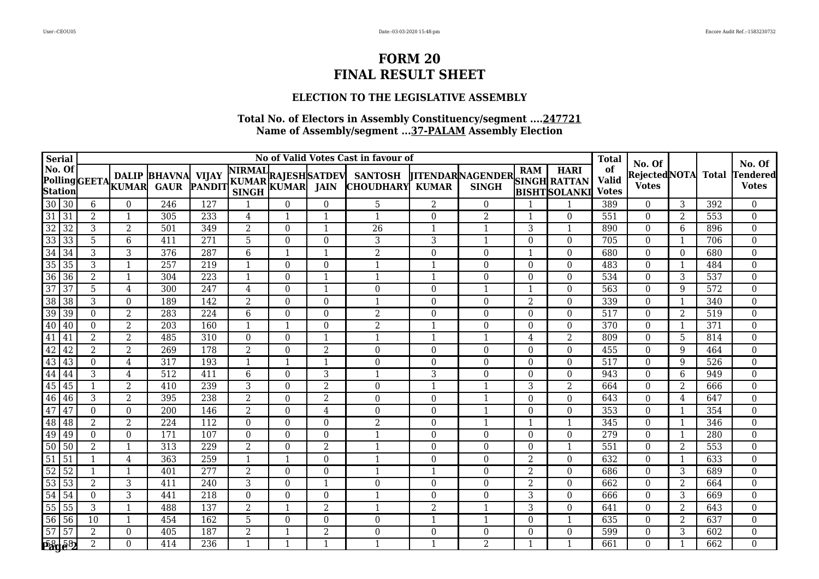### **ELECTION TO THE LEGISLATIVE ASSEMBLY**

|                 | Serial                        |                  |                |                                                 |                  |                |          |                | No of Valid Votes Cast in favour of                                     |                         |                                                      |                |                         | <b>Total</b>                       |                                         |                |                  |                                           |
|-----------------|-------------------------------|------------------|----------------|-------------------------------------------------|------------------|----------------|----------|----------------|-------------------------------------------------------------------------|-------------------------|------------------------------------------------------|----------------|-------------------------|------------------------------------|-----------------------------------------|----------------|------------------|-------------------------------------------|
| No. Of          | Station<br>$30\overline{)30}$ |                  |                | <b>DALIP BHAVNA</b><br>Polling GEETA KUMAR GAUR |                  |                |          |                | A VIJAY NIRMAL<br>PANDIT KUMAR KUMAR JAIN CHOUDHARY<br><b>CHOUDHARY</b> | <b>KUMAR</b>            | <b>THENDAR NAGENDER SINGH RATTAN</b><br><b>SINGH</b> |                | BISHT SOLANKI           | of<br><b>Valid</b><br><b>Votes</b> | No. Of<br>Rejected NOTA<br><b>Votes</b> |                | <b>Total</b>     | No. Of<br><b>Tendered</b><br><b>Votes</b> |
|                 |                               | 6                | $\Omega$       | $\overline{246}$                                | $\overline{127}$ |                | $\Omega$ | $\Omega$       | 5                                                                       | $\overline{2}$          | $\Omega$                                             |                |                         | 389                                | $\Omega$                                | 3              | 392              | $\boldsymbol{0}$                          |
| $\overline{31}$ | 31                            | $\overline{2}$   |                | 305                                             | 233              | 4              | -1       | $\mathbf{1}$   | $\mathbf{1}$                                                            | $\Omega$                | $\overline{2}$                                       |                | $\Omega$                | 551                                | $\Omega$                                | 2              | 553              | $\boldsymbol{0}$                          |
| $\overline{32}$ | 32                            | 3                | $\overline{2}$ | 501                                             | 349              | $\overline{2}$ | $\Omega$ | 1              | $\overline{26}$                                                         | $\mathbf{1}$            | $\mathbf{1}$                                         | 3              | 1                       | 890                                | $\Omega$                                | 6              | 896              | $\mathbf{0}$                              |
| $\frac{33}{34}$ | 33                            | 5                | 6              | 411                                             | 271              | 5              | $\Omega$ | $\Omega$       | 3                                                                       | 3                       | $\mathbf{1}$                                         | $\Omega$       | $\theta$                | 705                                | $\Omega$                                | $\mathbf{1}$   | 706              | $\boldsymbol{0}$                          |
|                 | 34                            | 3                | 3              | 376                                             | 287              | 6              |          | 1              | $\overline{2}$                                                          | $\Omega$                | $\Omega$                                             |                | $\theta$                | 680                                | $\Omega$                                | $\Omega$       | 680              | $\mathbf{0}$                              |
| $\overline{35}$ | 35                            | $\overline{3}$   |                | 257                                             | 219              | $\mathbf 1$    | $\Omega$ | $\Omega$       | $\mathbf 1$                                                             | $\overline{\mathbf{1}}$ | $\Omega$                                             | $\Omega$       | $\theta$                | 483                                | $\Omega$                                | $\mathbf{1}$   | 484              | $\boldsymbol{0}$                          |
| $\overline{36}$ | 36                            | 2                |                | 304                                             | 223              |                | $\Omega$ | 1              |                                                                         | $\mathbf{1}$            | $\Omega$                                             | $\Omega$       | $\theta$                | 534                                | $\Omega$                                | 3              | 537              | $\boldsymbol{0}$                          |
| $\frac{37}{38}$ | $\overline{37}$               | 5                | 4              | $\overline{300}$                                | 247              | 4              | $\Omega$ | -1             | $\boldsymbol{0}$                                                        | 0                       | 1                                                    |                | $\mathbf{0}$            | 563                                | $\Omega$                                | 9              | $\overline{572}$ | $\boldsymbol{0}$                          |
|                 | 38                            | 3                | $\theta$       | 189                                             | 142              | 2              | $\Omega$ | $\Omega$       |                                                                         | $\Omega$                | $\boldsymbol{0}$                                     | $\overline{2}$ | $\theta$                | 339                                | $\Omega$                                | $\mathbf 1$    | 340              | $\boldsymbol{0}$                          |
| $\overline{39}$ | 39                            | $\Omega$         | 2              | 283                                             | 224              | 6              | $\Omega$ | $\Omega$       | $\overline{2}$                                                          | $\Omega$                | $\Omega$                                             | $\Omega$       | $\Omega$                | 517                                | $\Omega$                                | 2              | 519              | $\mathbf{0}$                              |
| 40              | 40                            | $\boldsymbol{0}$ | $\overline{2}$ | $\overline{203}$                                | 160              |                |          | $\Omega$       | $\overline{2}$                                                          | $\overline{1}$          | $\Omega$                                             | $\Omega$       | $\mathbf{0}$            | $\overline{370}$                   | $\Omega$                                | $\mathbf{1}$   | $\overline{371}$ | $\mathbf{0}$                              |
| 41              | 41                            | 2                | $\overline{2}$ | 485                                             | 310              | $\Omega$       | $\Omega$ | 1              | -1                                                                      | -1                      | 1                                                    | 4              | $\overline{2}$          | 809                                | $\Omega$                                | 5              | 814              | $\boldsymbol{0}$                          |
| $\overline{42}$ | 42                            | 2                | $\overline{2}$ | 269                                             | 178              | 2              | $\Omega$ | $\overline{2}$ | $\overline{0}$                                                          | $\Omega$                | $\overline{0}$                                       | $\Omega$       | $\boldsymbol{0}$        | 455                                | $\theta$                                | 9              | 464              | $\mathbf 0$                               |
| 43              | 43                            | $\Omega$         | 4              | 317                                             | 193              | $\mathbf{1}$   |          | $\mathbf 1$    | $\Omega$                                                                | $\Omega$                | $\Omega$                                             | $\Omega$       | $\Omega$                | 517                                | $\Omega$                                | 9              | 526              | $\boldsymbol{0}$                          |
| $\overline{44}$ | 44                            | 3                | $\overline{4}$ | $\overline{512}$                                | 411              | 6              | $\Omega$ | 3              | $\mathbf 1$                                                             | 3                       | $\Omega$                                             | $\Omega$       | $\Omega$                | 943                                | $\Omega$                                | 6              | 949              | $\mathbf{0}$                              |
| $\frac{45}{46}$ | 45                            |                  | $\overline{2}$ | 410                                             | 239              | 3              | $\Omega$ | $\overline{2}$ | $\boldsymbol{0}$                                                        | $\overline{\mathbf{1}}$ | -1                                                   | 3              | $\overline{2}$          | 664                                | $\theta$                                | $\overline{2}$ | 666              | $\boldsymbol{0}$                          |
|                 | 46                            | 3                | $\overline{2}$ | 395                                             | 238              | $\overline{2}$ | $\Omega$ | $\overline{2}$ | $\theta$                                                                | $\Omega$                | 1                                                    | $\Omega$       | $\Omega$                | 643                                | $\Omega$                                | 4              | 647              | $\boldsymbol{0}$                          |
| 47              | 47                            | $\mathbf{0}$     | $\theta$       | $\overline{200}$                                | 146              | $\overline{2}$ | $\Omega$ | 4              | $\boldsymbol{0}$                                                        | $\Omega$                | $\mathbf 1$                                          | $\Omega$       | $\boldsymbol{0}$        | 353                                | $\theta$                                | $\mathbf{1}$   | 354              | $\boldsymbol{0}$                          |
| 48              | 48                            | 2                | 2              | 224                                             | 112              | $\Omega$       | $\Omega$ | $\Omega$       | 2                                                                       | $\theta$                | $\mathbf{1}$                                         |                | $\mathbf{1}$            | 345                                | $\Omega$                                | -1             | 346              | $\boldsymbol{0}$                          |
| $\frac{49}{50}$ | 49                            | $\Omega$         | $\theta$       | 171                                             | 107              | $\Omega$       | $\Omega$ | $\Omega$       |                                                                         | $\Omega$                | $\Omega$                                             | $\Omega$       | $\overline{0}$          | 279                                | $\theta$                                | -1             | 280              | $\boldsymbol{0}$                          |
|                 | $\overline{50}$               | $\overline{2}$   |                | $\overline{313}$                                | 229              | $\overline{2}$ | $\Omega$ | $\overline{2}$ |                                                                         | $\theta$                | $\Omega$                                             | $\Omega$       | $\overline{\mathbf{1}}$ | 551                                | $\Omega$                                | $\overline{2}$ | 553              | $\boldsymbol{0}$                          |
| $\overline{51}$ | 51                            |                  | 4              | 363                                             | 259              |                |          | $\Omega$       |                                                                         | $\Omega$                | $\Omega$                                             | $\overline{2}$ | $\Omega$                | 632                                | $\Omega$                                | $\mathbf{1}$   | 633              | $\boldsymbol{0}$                          |
| $\overline{52}$ | 52                            |                  |                | 401                                             | 277              | $\overline{2}$ | $\Omega$ | $\mathbf{0}$   | -1                                                                      | $\mathbf{1}$            | $\boldsymbol{0}$                                     | $\overline{2}$ | $\boldsymbol{0}$        | 686                                | $\mathbf{0}$                            | 3              | 689              | $\mathbf{0}$                              |
| $\frac{53}{54}$ | 53                            | 2                | 3              | 411                                             | 240              | 3              | $\Omega$ | 1              | $\boldsymbol{0}$                                                        | $\theta$                | $\Omega$                                             | 2              | $\theta$                | 662                                | $\theta$                                | $\overline{2}$ | 664              | $\boldsymbol{0}$                          |
|                 | 54                            | $\mathbf{0}$     | 3              | 441                                             | $\overline{218}$ | $\Omega$       | $\Omega$ | $\Omega$       | $\overline{1}$                                                          | $\theta$                | $\Omega$                                             | 3              | $\theta$                | 666                                | $\Omega$                                | 3              | 669              | $\boldsymbol{0}$                          |
| $\overline{55}$ | $\overline{55}$               | 3                |                | 488                                             | 137              | $\overline{2}$ |          | $\overline{2}$ | $\mathbf 1$                                                             | $\overline{2}$          | 1                                                    | 3              | $\mathbf{0}$            | 641                                | $\Omega$                                | $\overline{2}$ | 643              | $\boldsymbol{0}$                          |
| $\frac{1}{56}$  | 56                            | 10               | 1              | 454                                             | 162              | 5              | $\Omega$ | $\Omega$       | $\boldsymbol{0}$                                                        | $\mathbf{1}$            | $\mathbf 1$                                          | $\Omega$       | $\mathbf{1}$            | 635                                | $\Omega$                                | 2              | 637              | $\mathbf{0}$                              |
|                 | 57                            | $\overline{2}$   | $\mathbf{0}$   | 405                                             | 187              | $\overline{2}$ |          | $\overline{2}$ | 0                                                                       | 0                       | $\boldsymbol{0}$                                     | $\theta$       | $\boldsymbol{0}$        | 599                                | $\mathbf{0}$                            | 3              | 602              | $\mathbf{0}$                              |
|                 | Dage <sup>87</sup>            | $\mathbf{2}$     | $\Omega$       | 414                                             | 236              | $\mathbf{1}$   |          | $\mathbf{1}$   | $\mathbf{1}$                                                            | $\mathbf 1$             | 2                                                    |                | $\mathbf{1}$            | 661                                | $\theta$                                |                | 662              | $\boldsymbol{0}$                          |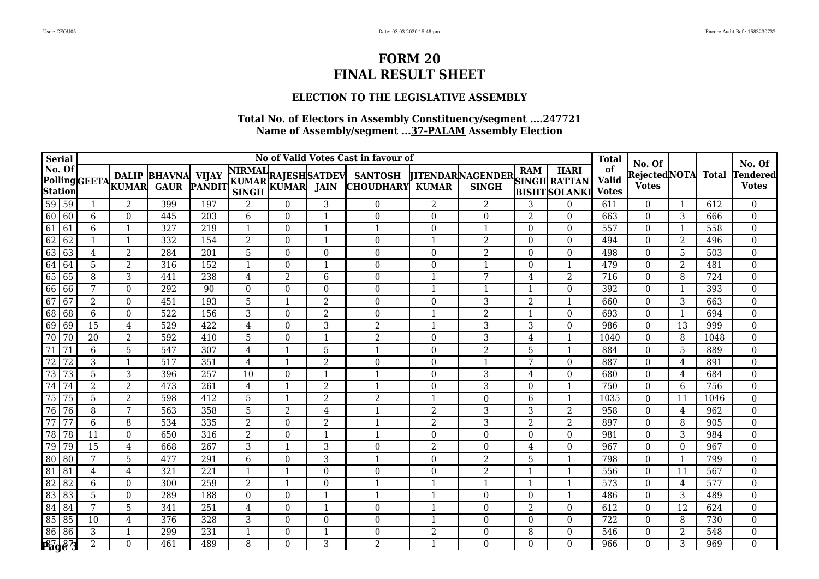### **ELECTION TO THE LEGISLATIVE ASSEMBLY**

| <b>Serial</b>       |                 |                 |                  |                                               |                  |                |                |                          | No of Valid Votes Cast in favour of                                           |                |                                                      |                |                         | <b>Total</b>                       | No. Of                        |                 |                  | No. Of                          |
|---------------------|-----------------|-----------------|------------------|-----------------------------------------------|------------------|----------------|----------------|--------------------------|-------------------------------------------------------------------------------|----------------|------------------------------------------------------|----------------|-------------------------|------------------------------------|-------------------------------|-----------------|------------------|---------------------------------|
| No. Of              |                 |                 |                  | DALIP BHAVNA VIJAY<br>PollingCEETA KUMAR GAUR |                  |                |                |                          | A VIJAY NIRMAL<br>PANDIT KUMAR KUMAR JAIN CHOUDHARY<br><b>CHOUDHARY KUMAR</b> |                | <b>TITENDARNAGENDER</b> SINGH RATTAN<br><b>SINGH</b> |                | <b>BISHTSOLANKI</b>     | of<br><b>Valid</b><br><b>Votes</b> | Rejected NOTA<br><b>Votes</b> |                 | Total            | <b>Tendered</b><br><b>Votes</b> |
| $\overline{59}$     | 59              |                 | $\overline{2}$   | 399                                           | 197              | 2              | $\Omega$       | 3                        | $\Omega$                                                                      | 2              | $\overline{2}$                                       | 3              | $\theta$                | 611                                | $\theta$                      |                 | 612              | $\overline{0}$                  |
| 60                  | 60              | 6               | $\theta$         | 445                                           | 203              | 6              | $\Omega$       | $\mathbf 1$              | $\Omega$                                                                      | $\theta$       | $\Omega$                                             | $\overline{2}$ | $\Omega$                | 663                                | $\theta$                      | 3               | 666              | $\mathbf{0}$                    |
| 61                  | 61              | 6               | $\mathbf{1}$     | 327                                           | 219              | 1              | $\Omega$       | $\overline{1}$           |                                                                               | $\theta$       | $\mathbf{1}$                                         | $\Omega$       | $\mathbf{0}$            | 557                                | $\theta$                      | 1               | 558              | $\boldsymbol{0}$                |
| 62                  | 62              | 1               | $\mathbf{1}$     | 332                                           | 154              | 2              | $\Omega$       | $\mathbf{1}$             | $\theta$                                                                      | -1             | 2                                                    | $\Omega$       | $\mathbf{0}$            | 494                                | $\theta$                      | 2               | 496              | $\boldsymbol{0}$                |
| 63                  | 63              | $\overline{4}$  | $\overline{2}$   | 284                                           | $\overline{201}$ | 5              | $\Omega$       | $\Omega$                 | 0                                                                             | $\Omega$       | $\overline{2}$                                       | $\Omega$       | $\theta$                | 498                                | $\theta$                      | 5               | 503              | $\boldsymbol{0}$                |
| 64                  | 64              | 5               | $\overline{2}$   | 316                                           | 152              |                | $\Omega$       | -1                       | $\Omega$                                                                      | $\Omega$       | 1                                                    | $\Omega$       | $\mathbf{1}$            | 479                                | $\Omega$                      | 2               | 481              | $\boldsymbol{0}$                |
| $\overline{65}$     | 65              | $\overline{8}$  | $\overline{3}$   | 441                                           | 238              | 4              | $\overline{2}$ | 6                        | $\theta$                                                                      |                | 7                                                    | $\overline{4}$ | $\overline{2}$          | 716                                | $\theta$                      | 8               | 724              | $\mathbf{0}$                    |
| 66                  | 66              | 7               | $\mathbf{0}$     | 292                                           | $\overline{90}$  | $\Omega$       | $\Omega$       | $\Omega$                 | 0                                                                             |                | 1                                                    | $\mathbf{1}$   | $\theta$                | 392                                | $\theta$                      | $\mathbf{1}$    | 393              | $\mathbf{0}$                    |
| 67                  | 67              | $\overline{2}$  | $\theta$         | 451                                           | 193              | 5              |                | $\overline{2}$           | $\overline{0}$                                                                | $\Omega$       | 3                                                    | $\overline{2}$ | $\mathbf{1}$            | 660                                | $\theta$                      | 3               | 663              | $\boldsymbol{0}$                |
| 68                  | 68              | $6\phantom{1}$  | $\mathbf{0}$     | 522                                           | 156              | 3              | $\Omega$       | $\overline{2}$           | 0                                                                             |                | $\overline{2}$                                       | -1             | $\mathbf{0}$            | 693                                | $\theta$                      | $\mathbf{1}$    | 694              | $\mathbf{0}$                    |
| 69                  | 69              | $\overline{15}$ | $\overline{4}$   | $\overline{529}$                              | 422              | 4              | $\Omega$       | 3                        | 2                                                                             |                | 3                                                    | 3              | $\theta$                | 986                                | $\theta$                      | $\overline{13}$ | 999              | $\overline{0}$                  |
| $\overline{70}$     | $\overline{70}$ | $\overline{20}$ | $\overline{2}$   | 592                                           | 410              | 5              | $\Omega$       | 1                        | $\overline{2}$                                                                | $\theta$       | $\overline{3}$                                       | 4              | $\mathbf{1}$            | 1040                               | $\mathbf{0}$                  | 8               | 1048             | $\mathbf{0}$                    |
| 71                  | 71              | 6               | 5                | 547                                           | 307              | 4              |                | 5                        |                                                                               | $\Omega$       | $\overline{2}$                                       | 5              | $\overline{\mathbf{1}}$ | 884                                | $\theta$                      | 5               | 889              | $\mathbf{0}$                    |
| $\overline{72}$     | 72              | 3               | $\mathbf{1}$     | 517                                           | 351              | 4              |                | $\overline{2}$           | $\boldsymbol{0}$                                                              | $\mathbf{0}$   | 1                                                    | 7              | $\boldsymbol{0}$        | 887                                | $\theta$                      | 4               | 891              | $\mathbf{0}$                    |
| $\overline{73}$     | 73              | 5               | 3                | 396                                           | 257              | 10             | $\Omega$       | $\overline{\mathbf{1}}$  |                                                                               | $\mathbf{0}$   | 3                                                    | 4              | $\theta$                | 680                                | $\theta$                      | 4               | 684              | $\boldsymbol{0}$                |
| 74                  | 74              | 2               | $\overline{2}$   | 473                                           | 261              | 4              |                | $\overline{2}$           |                                                                               | $\Omega$       | 3                                                    | $\theta$       | $\mathbf{1}$            | 750                                | $\theta$                      | 6               | 756              | $\boldsymbol{0}$                |
| 75                  | 75              | 5               | $\overline{2}$   | 598                                           | 412              | 5              | -1             | $\overline{2}$           | $\overline{2}$                                                                | $\mathbf 1$    | $\boldsymbol{0}$                                     | 6              | $\overline{1}$          | 1035                               | $\mathbf{0}$                  | 11              | 1046             | $\boldsymbol{0}$                |
| $\overline{76}$     | $\overline{76}$ | 8               | 7                | $\overline{563}$                              | 358              | 5              | 2              | 4                        |                                                                               | $\overline{2}$ | 3                                                    | 3              | $\overline{2}$          | 958                                | $\Omega$                      | 4               | 962              | $\boldsymbol{0}$                |
| $\overline{77}$     | 77              | 6               | 8                | 534                                           | 335              | $\overline{2}$ | $\Omega$       | $\overline{2}$           |                                                                               | $\overline{2}$ | 3                                                    | $\overline{2}$ | $\overline{2}$          | 897                                | $\boldsymbol{0}$              | 8               | 905              | $\boldsymbol{0}$                |
| 78                  | 78              | 11              | $\boldsymbol{0}$ | 650                                           | 316              | $\overline{2}$ | $\Omega$       | $\mathbf 1$              |                                                                               | $\Omega$       | $\Omega$                                             | $\theta$       | $\theta$                | 981                                | $\theta$                      | 3               | 984              | $\boldsymbol{0}$                |
| 79                  | 79              | 15              | $\overline{4}$   | 668                                           | 267              | 3              |                | 3                        | 0                                                                             | $\overline{2}$ | $\boldsymbol{0}$                                     | 4              | $\theta$                | 967                                | $\theta$                      | $\Omega$        | 967              | $\boldsymbol{0}$                |
| $\overline{80}$     | $\overline{80}$ | 7               | 5                | 477                                           | 291              | 6              | $\Omega$       | 3                        |                                                                               | $\Omega$       | 2                                                    | 5              |                         | 798                                | $\theta$                      | -1              | 799              | $\boldsymbol{0}$                |
| 81                  | 81              | 4               | 4                | 321                                           | 221              | -1             |                | $\Omega$                 | $\theta$                                                                      | $\Omega$       | $\overline{2}$                                       |                | $\overline{\mathbf{1}}$ | 556                                | $\theta$                      | 11              | 567              | $\mathbf{0}$                    |
| 82                  | 82              | 6               | $\mathbf{0}$     | 300                                           | 259              | $\overline{2}$ |                | $\Omega$                 |                                                                               |                | 1                                                    | $\mathbf{1}$   | $\mathbf{1}$            | 573                                | $\theta$                      | 4               | 577              | $\mathbf{0}$                    |
| 83                  | $\overline{83}$ | 5               | $\mathbf{0}$     | 289                                           | 188              | $\Omega$       | $\Omega$       | $\mathbf{1}$             |                                                                               |                | $\Omega$                                             | $\Omega$       | $\overline{\mathbf{1}}$ | 486                                | $\Omega$                      | 3               | 489              | $\mathbf{0}$                    |
| $\overline{84}$     | 84              | 7               | 5                | 341                                           | 251              | 4              | $\Omega$       | $\overline{\phantom{0}}$ | 0                                                                             |                | $\Omega$                                             | $\overline{2}$ | $\theta$                | 612                                | $\theta$                      | 12              | 624              | $\boldsymbol{0}$                |
| 85                  | 85              | 10              | 4                | 376                                           | 328              | 3              | $\Omega$       | $\Omega$                 | 0                                                                             |                | $\Omega$                                             | $\Omega$       | $\theta$                | 722                                | $\Omega$                      | 8               | 730              | $\boldsymbol{0}$                |
| 86                  | 86              | 3               | 1                | 299                                           | 231              |                | $\Omega$       | $\mathbf{1}$             | $\theta$                                                                      | $\overline{2}$ | $\boldsymbol{0}$                                     | 8              | $\boldsymbol{0}$        | 546                                | $\boldsymbol{0}$              | $\overline{2}$  | $\overline{548}$ | $\mathbf{0}$                    |
| Page <sup>7</sup> 3 |                 | 2               | $\Omega$         | 461                                           | 489              | 8              | $\Omega$       | 3                        | 2                                                                             |                | $\Omega$                                             | $\Omega$       | $\Omega$                | 966                                | $\Omega$                      | 3               | 969              | $\mathbf{0}$                    |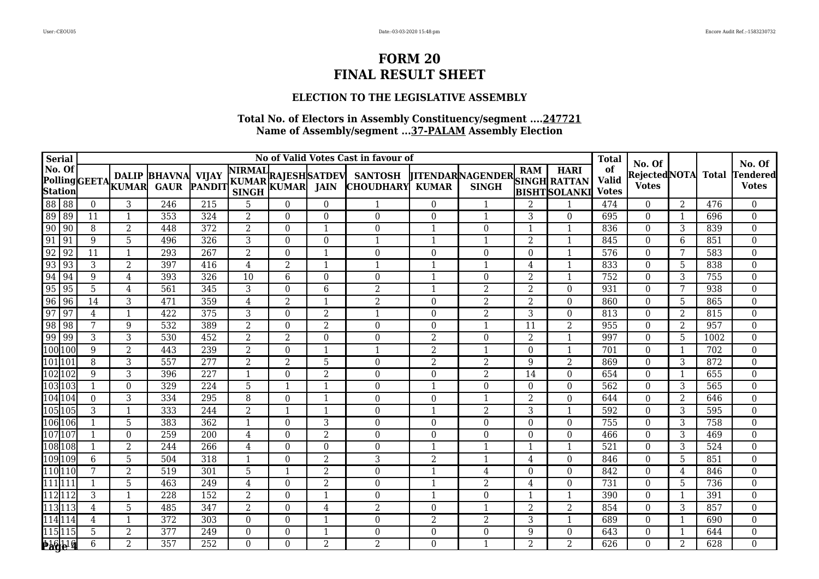### **ELECTION TO THE LEGISLATIVE ASSEMBLY**

| <b>Serial</b>            |                 |          |                 |                                              |     |                                                      |                |                          | No of Valid Votes Cast in favour of |                |                                                      |                |                          | <b>Total</b>                       |                                         |                |                  |                                           |
|--------------------------|-----------------|----------|-----------------|----------------------------------------------|-----|------------------------------------------------------|----------------|--------------------------|-------------------------------------|----------------|------------------------------------------------------|----------------|--------------------------|------------------------------------|-----------------------------------------|----------------|------------------|-------------------------------------------|
| No. Of<br><b>Station</b> |                 |          |                 | <b>DALIP BHAVNA</b><br>PollingGEETALWAR GAUR |     | A VIJAY NIRMAL RAJESH SATDEV PANDIT SINGH KUMAR JAIN |                |                          | <b>SANTOSH</b><br><b>CHOUDHARY</b>  | <b>KUMAR</b>   | <b>TTENDAR NAGENDER SINGH RATTAN</b><br><b>SINGH</b> |                | <b>BISHTSOLANKI</b>      | of<br><b>Valid</b><br><b>Votes</b> | No. Of<br>Rejected NOTA<br><b>Votes</b> |                | <b>Total</b>     | No. Of<br><b>Tendered</b><br><b>Votes</b> |
| 88                       | $\overline{88}$ | $\theta$ | 3               | 246                                          | 215 | 5                                                    | $\Omega$       | $\Omega$                 |                                     | $\Omega$       |                                                      | $\overline{2}$ |                          | 474                                | $\theta$                                | 2              | 476              | $\overline{0}$                            |
| 89                       | 89              | 11       | 1               | 353                                          | 324 | 2                                                    | $\Omega$       | $\Omega$                 | $\overline{0}$                      | $\theta$       | $\mathbf{1}$                                         | 3              | $\Omega$                 | 695                                | $\theta$                                | 1              | 696              | $\overline{0}$                            |
| $\overline{90}$          | 90              | 8        | $\overline{2}$  | 448                                          | 372 | $\overline{2}$                                       | $\Omega$       | $\mathbf{1}$             | $\theta$                            |                | $\Omega$                                             | -1             |                          | 836                                | $\theta$                                | 3              | 839              | $\mathbf 0$                               |
| 91                       | 91              | 9        | 5               | 496                                          | 326 | 3                                                    | $\Omega$       | $\Omega$                 |                                     |                | $\mathbf 1$                                          | $\overline{2}$ | $\overline{\mathbf{1}}$  | 845                                | $\theta$                                | 6              | 851              | $\boldsymbol{0}$                          |
| 92                       | $\overline{92}$ | 11       | $\mathbf{1}$    | 293                                          | 267 | 2                                                    | $\Omega$       | $\overline{\phantom{a}}$ | 0                                   | $\Omega$       | $\Omega$                                             | $\Omega$       | $\mathbf{1}$             | 576                                | $\theta$                                | 7              | 583              | $\mathbf 0$                               |
| 93                       | 93              | 3        | $\overline{2}$  | 397                                          | 416 | $\overline{4}$                                       | $\overline{2}$ | $\mathbf 1$              |                                     |                | $\mathbf{1}$                                         | 4              |                          | 833                                | $\theta$                                | 5              | 838              | $\mathbf 0$                               |
| 94                       | 94              | 9        | 4               | 393                                          | 326 | 10                                                   | 6              | $\Omega$                 | 0                                   |                | $\Omega$                                             | $\overline{2}$ |                          | 752                                | $\theta$                                | 3              | 755              | $\mathbf 0$                               |
| 95                       | $\overline{95}$ | 5        | $\overline{4}$  | 561                                          | 345 | 3                                                    | $\theta$       | 6                        | $\overline{2}$                      |                | $\overline{2}$                                       | $\overline{2}$ | $\theta$                 | 931                                | $\theta$                                | 7              | 938              | $\boldsymbol{0}$                          |
| 96                       | 96              | 14       | 3               | 471                                          | 359 | 4                                                    | 2              | $\overline{\phantom{a}}$ | $\overline{2}$                      | $\Omega$       | 2                                                    | $\overline{2}$ | $\theta$                 | 860                                | $\theta$                                | 5              | 865              | $\boldsymbol{0}$                          |
| 97                       | 97              | 4        | 1               | 422                                          | 375 | 3                                                    | $\Omega$       | 2                        | 1                                   | $\Omega$       | 2                                                    | 3              | $\Omega$                 | 813                                | $\Omega$                                | 2              | 815              | $\mathbf 0$                               |
| 98                       | $\overline{98}$ | 7        | $9\,$           | 532                                          | 389 | $\overline{2}$                                       | $\Omega$       | $\overline{2}$           | $\theta$                            | $\Omega$       | $\mathbf 1$                                          | 11             | $\overline{2}$           | 955                                | $\theta$                                | 2              | 957              | $\overline{0}$                            |
| 99                       | 99              | 3        | 3               | $\overline{530}$                             | 452 | 2                                                    | 2              | $\Omega$                 | 0                                   | $\overline{2}$ | $\Omega$                                             | $\overline{2}$ | $\mathbf{1}$             | 997                                | $\theta$                                | 5              | 1002             | $\boldsymbol{0}$                          |
| 100 100                  |                 | 9        | $\overline{2}$  | 443                                          | 239 | 2                                                    | $\Omega$       | $\overline{\mathbf{1}}$  |                                     | $\overline{2}$ | $\mathbf 1$                                          | $\Omega$       | $\mathbf{1}$             | 701                                | $\mathbf{0}$                            | 1              | 702              | $\mathbf 0$                               |
| 101 10                   |                 | 8        | 3               | 557                                          | 277 | 2                                                    | 2              | 5                        | $\Omega$                            | 2              | $\overline{2}$                                       | 9              | $\overline{2}$           | 869                                | $\Omega$                                | 3              | 872              | $\boldsymbol{0}$                          |
| 102 102                  |                 | 9        | 3               | 396                                          | 227 | 1                                                    | $\Omega$       | $\overline{2}$           | $\overline{0}$                      | $\Omega$       | $\overline{2}$                                       | 14             | $\Omega$                 | 654                                | $\theta$                                | $\mathbf{1}$   | 655              | $\mathbf 0$                               |
| 103103                   |                 |          | $\mathbf{0}$    | 329                                          | 224 | 5                                                    |                | $\mathbf 1$              | 0                                   |                | $\Omega$                                             | $\Omega$       | $\theta$                 | 562                                | $\theta$                                | 3              | 565              | $\boldsymbol{0}$                          |
| 104104                   |                 | $\Omega$ | 3               | 334                                          | 295 | 8                                                    | $\Omega$       | $\overline{\mathbf{1}}$  | $\Omega$                            | $\Omega$       | 1                                                    | $\overline{2}$ | $\Omega$                 | 644                                | $\theta$                                | 2              | 646              | $\overline{0}$                            |
| 105 105                  |                 | 3        | $\mathbf{1}$    | 333                                          | 244 | $\overline{2}$                                       |                | $\mathbf 1$              | $\overline{0}$                      | $\mathbf{1}$   | $\overline{2}$                                       | 3              | $\mathbf{1}$             | 592                                | $\theta$                                | 3              | 595              | $\boldsymbol{0}$                          |
| 106 106                  |                 |          | 5               | 383                                          | 362 | $\mathbf{1}$                                         | $\Omega$       | 3                        | $\overline{0}$                      | $\theta$       | $\Omega$                                             | $\Omega$       | $\theta$                 | 755                                | $\theta$                                | 3              | 758              | $\mathbf 0$                               |
| 107 107                  |                 |          | $\Omega$        | 259                                          | 200 | 4                                                    | $\Omega$       | $\overline{2}$           | $\theta$                            | $\Omega$       | $\Omega$                                             | $\Omega$       | $\theta$                 | 466                                | $\theta$                                | 3              | 469              | $\mathbf 0$                               |
| 108 108                  |                 |          | $\overline{2}$  | 244                                          | 266 | $\overline{4}$                                       | $\Omega$       | $\overline{0}$           | $\overline{0}$                      | $\mathbf 1$    | $\mathbf 1$                                          | $\mathbf 1$    | $\overline{1}$           | 521                                | $\theta$                                | 3              | $\overline{524}$ | $\overline{0}$                            |
| 109109                   |                 | 6        | $\overline{5}$  | 504                                          | 318 |                                                      | $\Omega$       | $\overline{2}$           | 3                                   | $\overline{2}$ | -1                                                   | 4              | $\Omega$                 | 846                                | $\Omega$                                | 5              | 851              | $\mathbf 0$                               |
| 110 110                  |                 | 7        | $\overline{2}$  | 519                                          | 301 | 5                                                    |                | $\overline{2}$           | 0                                   | $\mathbf 1$    | 4                                                    | $\theta$       | $\theta$                 | 842                                | $\mathbf{0}$                            | $\overline{4}$ | 846              | $\mathbf 0$                               |
| $\overline{111}$  111    |                 |          | 5               | 463                                          | 249 | 4                                                    | $\Omega$       | $\overline{2}$           | 0                                   |                | $\overline{2}$                                       | 4              | $\theta$                 | 731                                | $\theta$                                | 5              | 736              | $\boldsymbol{0}$                          |
| 11211                    |                 | 3        | $\mathbf{1}$    | 228                                          | 152 | 2                                                    | $\Omega$       | $\mathbf{1}$             | 0                                   |                | $\Omega$                                             | $\mathbf{1}$   | $\overline{\phantom{a}}$ | 390                                | $\theta$                                |                | 391              | $\mathbf 0$                               |
| 11311                    |                 | 4        | $5\phantom{.0}$ | 485                                          | 347 | $\overline{2}$                                       | $\Omega$       | 4                        | $\overline{2}$                      | $\Omega$       | -1                                                   | $\overline{2}$ | $\overline{2}$           | 854                                | $\theta$                                | 3              | 857              | $\boldsymbol{0}$                          |
| 114114                   |                 | 4        | $\mathbf{1}$    | 372                                          | 303 | $\Omega$                                             | $\Omega$       | $\mathbf 1$              | 0                                   | $\overline{2}$ | $\overline{2}$                                       | 3              | $\overline{\mathbf{1}}$  | 689                                | $\theta$                                | 1              | 690              | $\mathbf 0$                               |
| 115115                   |                 | 5        | $\overline{2}$  | $\overline{377}$                             | 249 | $\Omega$                                             | $\Omega$       | -1                       | 0                                   | $\Omega$       | $\boldsymbol{0}$                                     | 9              | $\theta$                 | 643                                | $\boldsymbol{0}$                        |                | 644              | $\mathbf 0$                               |
|                          | <b>Page 9</b>   | 6        | 2               | 357                                          | 252 | $\Omega$                                             | $\Omega$       | 2                        | 2                                   | $\Omega$       | $\mathbf 1$                                          | $\overline{2}$ | 2                        | 626                                | $\Omega$                                | 2              | 628              | $\overline{0}$                            |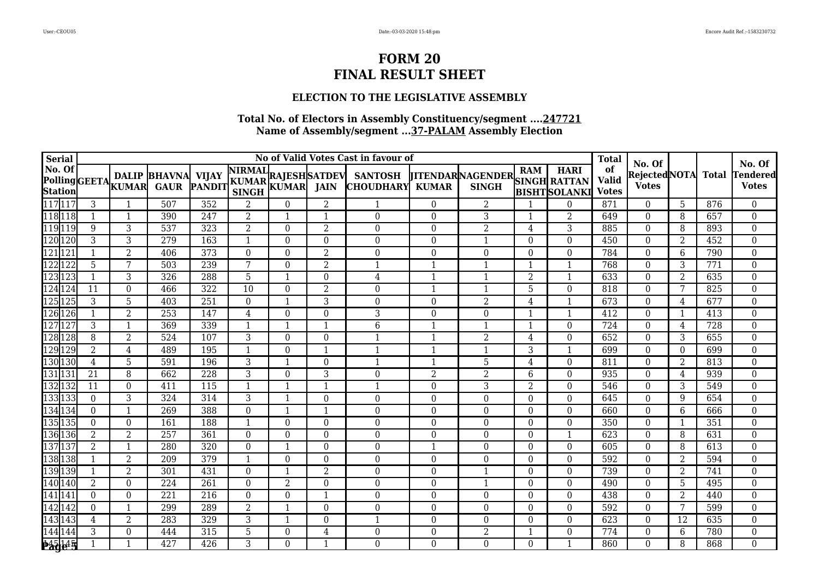### **ELECTION TO THE LEGISLATIVE ASSEMBLY**

| Serial                                        |                |                  |                                                 |                  |                                                      |                |              | No of Valid Votes Cast in favour of |                         |                                               |                |                     | <b>Total</b>                       |                                         |                |                  |                                           |
|-----------------------------------------------|----------------|------------------|-------------------------------------------------|------------------|------------------------------------------------------|----------------|--------------|-------------------------------------|-------------------------|-----------------------------------------------|----------------|---------------------|------------------------------------|-----------------------------------------|----------------|------------------|-------------------------------------------|
| No. Of<br><b>Station</b>                      |                |                  | <b>DALIP BHAVNA</b><br>Polling GEETA KUMAR GAUR |                  | A VIJAY NIRMAL RAJESH SATDEV PANDIT KUMAR KUMAR JAIN |                |              | <b>SANTOSH</b><br><b>CHOUDHARY</b>  | <b>KUMAR</b>            | JITENDARNAGENDER SINGH RATTAN<br><b>SINGH</b> |                | <b>BISHTSOLANKI</b> | of<br><b>Valid</b><br><b>Votes</b> | No. Of<br>Rejected NOTA<br><b>Votes</b> |                | <b>Total</b>     | No. Of<br><b>Tendered</b><br><b>Votes</b> |
| 117 117                                       | 3              |                  | 507                                             | 352              | 2                                                    | $\Omega$       | 2            |                                     | $\Omega$                | 2                                             |                | $\theta$            | 871                                | $\Omega$                                | 5              | 876              | $\mathbf{0}$                              |
| 118 118                                       |                | -1               | 390                                             | 247              | $\overline{2}$                                       | $\mathbf{1}$   | $\mathbf{1}$ | $\boldsymbol{0}$                    | $\Omega$                | 3                                             |                | $\overline{2}$      | 649                                | $\Omega$                                | 8              | 657              | $\boldsymbol{0}$                          |
| 119119                                        | 9              | 3                | 537                                             | 323              | $\overline{2}$                                       | $\Omega$       | 2            | $\Omega$                            | $\Omega$                | $\overline{2}$                                | 4              | 3                   | 885                                | $\theta$                                | 8              | 893              | $\boldsymbol{0}$                          |
| 120 120                                       | 3              | 3                | $\overline{279}$                                | 163              |                                                      | $\Omega$       | $\Omega$     | $\boldsymbol{0}$                    | 0                       | $\mathbf{1}$                                  | $\theta$       | $\mathbf 0$         | 450                                | $\Omega$                                | $\overline{2}$ | $\overline{452}$ | $\mathbf{0}$                              |
| 121 12                                        | 1              | $\overline{2}$   | 406                                             | 373              | $\Omega$                                             | $\Omega$       | 2            | $\theta$                            | $\theta$                | $\Omega$                                      | $\Omega$       | $\theta$            | 784                                | $\Omega$                                | 6              | 790              | $\mathbf{0}$                              |
| 122 122                                       | 5              | 7                | 503                                             | 239              | 7                                                    | $\Omega$       | 2            | $\mathbf{1}$                        | $\mathbf{1}$            | $\mathbf{1}$                                  |                | $\mathbf{1}$        | 768                                | $\Omega$                                | 3              | 771              | $\mathbf{0}$                              |
| 123 123                                       |                | 3                | 326                                             | 288              | 5                                                    | $\mathbf{1}$   | $\Omega$     | 4                                   | $\overline{1}$          | $\mathbf{1}$                                  | $\overline{2}$ | $\mathbf{1}$        | 633                                | $\theta$                                | $\overline{2}$ | 635              | $\mathbf{0}$                              |
| 124<br>125<br>125<br>125                      | 11             | $\theta$         | 466                                             | 322              | 10                                                   | $\Omega$       | 2            | $\theta$                            | $\mathbf{1}$            | 1                                             | 5              | $\Omega$            | 818                                | $\theta$                                | 7              | 825              | $\boldsymbol{0}$                          |
|                                               | 3              | 5                | 403                                             | 251              | $\Omega$                                             |                | 3            | $\boldsymbol{0}$                    | $\theta$                | $\overline{2}$                                | 4              | $\mathbf{1}$        | 673                                | $\theta$                                | 4              | 677              | $\boldsymbol{0}$                          |
| 126 126                                       |                | $\overline{2}$   | 253                                             | 147              | 4                                                    | $\Omega$       | $\Omega$     | 3                                   | $\Omega$                | $\Omega$                                      |                | $\mathbf{1}$        | 412                                | $\Omega$                                | $\mathbf{1}$   | 413              | $\boldsymbol{0}$                          |
| 12712                                         | 3              |                  | 369                                             | 339              |                                                      |                | 1            | 6                                   | $\overline{1}$          | $\mathbf{1}$                                  |                | $\mathbf 0$         | 724                                | $\theta$                                | 4              | 728              | $\boldsymbol{0}$                          |
| 128 128                                       | 8              | $\overline{2}$   | 524                                             | 107              | 3                                                    | $\Omega$       | $\Omega$     | 1                                   | $\mathbf{1}$            | $\overline{2}$                                | 4              | $\mathbf{0}$        | 652                                | $\theta$                                | 3              | 655              | $\boldsymbol{0}$                          |
| 129 129                                       | $\overline{2}$ | $\overline{4}$   | 489                                             | 195              |                                                      | $\Omega$       | $\mathbf{1}$ | $\overline{1}$                      | $\overline{1}$          | $\mathbf{1}$                                  | 3              | $\mathbf{1}$        | 699                                | $\theta$                                | $\overline{0}$ | 699              | $\mathbf{0}$                              |
| 130 130                                       | 4              | 5                | 591                                             | 196              | 3                                                    |                | $\Omega$     | -1                                  | -1                      | 5                                             | 4              | $\Omega$            | 811                                | $\Omega$                                | 2              | 813              | $\mathbf{0}$                              |
| 131 131                                       | 21             | 8                | 662                                             | $\overline{228}$ | 3                                                    | $\Omega$       | 3            | $\boldsymbol{0}$                    | $\overline{2}$          | $\overline{2}$                                | 6              | $\boldsymbol{0}$    | 935                                | $\theta$                                | 4              | 939              | $\boldsymbol{0}$                          |
| 132 132                                       | 11             | $\boldsymbol{0}$ | 411                                             | 115              |                                                      |                | 1            | $\mathbf 1$                         | $\theta$                | 3                                             | 2              | $\Omega$            | 546                                | $\theta$                                | 3              | 549              | $\boldsymbol{0}$                          |
| 133 133                                       | $\overline{0}$ | 3                | 324                                             | 314              | 3                                                    | -1             | $\mathbf{0}$ | $\boldsymbol{0}$                    | $\boldsymbol{0}$        | $\boldsymbol{0}$                              | $\Omega$       | $\boldsymbol{0}$    | 645                                | $\Omega$                                | 9              | 654              | $\boldsymbol{0}$                          |
| 134 134                                       | $\mathbf{0}$   |                  | 269                                             | 388              | $\Omega$                                             | -1             | $\mathbf{1}$ | $\boldsymbol{0}$                    | $\theta$                | $\boldsymbol{0}$                              | $\Omega$       | $\Omega$            | 660                                | $\Omega$                                | 6              | 666              | $\boldsymbol{0}$                          |
| 135 135                                       | $\Omega$       | $\mathbf{0}$     | 161                                             | 188              | $\mathbf{1}$                                         | $\Omega$       | $\Omega$     | $\Omega$                            | 0                       | $\Omega$                                      | $\Omega$       | $\Omega$            | 350                                | $\Omega$                                | -1             | 351              | $\boldsymbol{0}$                          |
| 136 136                                       | $\overline{2}$ | $\overline{2}$   | 257                                             | 361              | $\Omega$                                             | $\Omega$       | $\Omega$     | $\boldsymbol{0}$                    | $\theta$                | $\Omega$                                      | $\theta$       | $\mathbf{1}$        | 623                                | $\theta$                                | 8              | 631              | $\mathbf{0}$                              |
| 137 137                                       | 2              | -1               | 280                                             | 320              | $\Omega$                                             | -1             | $\Omega$     | $\Omega$                            | $\overline{\mathbf{1}}$ | $\Omega$                                      | $\Omega$       | $\Omega$            | 605                                | $\Omega$                                | 8              | 613              | $\boldsymbol{0}$                          |
| 138 138                                       |                | $\overline{2}$   | 209                                             | 379              |                                                      | $\Omega$       | $\Omega$     | $\boldsymbol{0}$                    | $\theta$                | $\Omega$                                      | $\Omega$       | $\theta$            | $\overline{592}$                   | $\Omega$                                | 2              | 594              | $\boldsymbol{0}$                          |
| 139 139                                       |                | 2                | 301                                             | 431              | $\Omega$                                             |                | 2            | $\boldsymbol{0}$                    | $\Omega$                | 1                                             | $\Omega$       | $\Omega$            | 739                                | $\Omega$                                | 2              | 741              | $\boldsymbol{0}$                          |
| 140 140                                       | $\overline{2}$ | $\boldsymbol{0}$ | 224                                             | 261              | $\Omega$                                             | $\overline{2}$ | $\Omega$     | $\theta$                            | $\Omega$                | $\mathbf{1}$                                  | $\Omega$       | $\Omega$            | 490                                | $\Omega$                                | 5              | 495              | $\mathbf{0}$                              |
| $\frac{141\overline{141}}{142\overline{142}}$ | $\Omega$       | $\theta$         | 221                                             | 216              | $\Omega$                                             | $\Omega$       | -1           | $\theta$                            | $\Omega$                | $\Omega$                                      | $\Omega$       | $\theta$            | 438                                | $\Omega$                                | 2              | 440              | $\mathbf 0$                               |
|                                               | $\mathbf{0}$   |                  | 299                                             | 289              | $\overline{2}$                                       |                | $\Omega$     | $\boldsymbol{0}$                    | 0                       | $\overline{0}$                                | $\Omega$       | $\theta$            | 592                                | $\Omega$                                | 7              | 599              | $\boldsymbol{0}$                          |
| 143 143                                       | 4              | $\overline{2}$   | 283                                             | 329              | 3                                                    |                | $\Omega$     | $\mathbf 1$                         | $\Omega$                | $\Omega$                                      | $\Omega$       | $\theta$            | 623                                | $\Omega$                                | 12             | 635              | $\boldsymbol{0}$                          |
| 144 144                                       | 3              | $\mathbf{0}$     | 444                                             | 315              | 5                                                    | $\Omega$       | 4            | $\boldsymbol{0}$                    | 0                       | $\overline{2}$                                |                | $\boldsymbol{0}$    | 774                                | 0                                       | 6              | 780              | $\mathbf 0$                               |
| 245145                                        |                |                  | 427                                             | 426              | 3                                                    | $\Omega$       | 1            | $\Omega$                            | $\Omega$                | $\Omega$                                      | $\Omega$       | $\mathbf{1}$        | 860                                | $\Omega$                                | 8              | 868              | $\mathbf{0}$                              |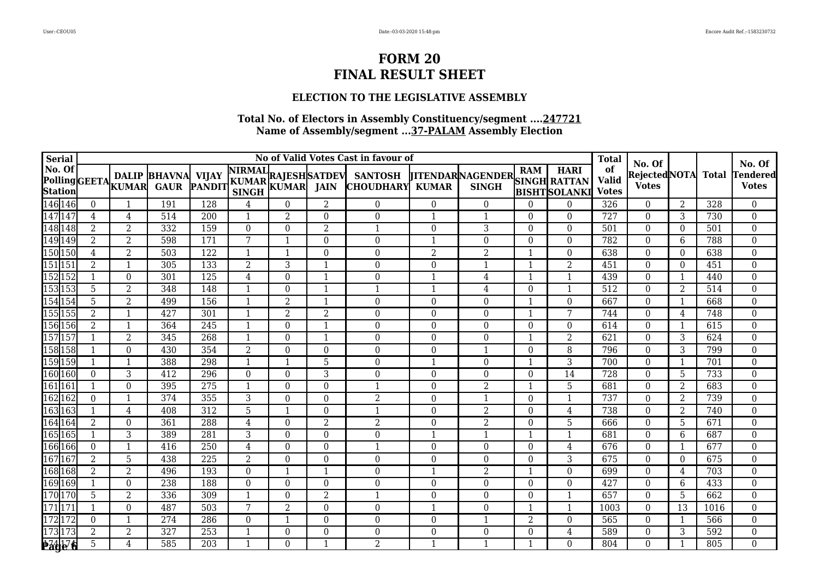### **ELECTION TO THE LEGISLATIVE ASSEMBLY**

| <b>Serial</b>            |                  |                  |                                                 |                  |                |                |                | No of Valid Votes Cast in favour of                                                              |                         |                                                      |                |                | <b>Total</b>                       | No. Of                              |                |              | No. Of                          |
|--------------------------|------------------|------------------|-------------------------------------------------|------------------|----------------|----------------|----------------|--------------------------------------------------------------------------------------------------|-------------------------|------------------------------------------------------|----------------|----------------|------------------------------------|-------------------------------------|----------------|--------------|---------------------------------|
| No. Of<br><b>Station</b> |                  |                  | <b>DALIP BHAVNA</b><br>Polling GEETA KUMAR GAUR |                  |                |                |                | A VIJAY NIRMAL RAJESH SATDEV SANTOSH PANDIT KUMAR KUMAR JAIN CHOUDHARY<br><b>CHOUDHARY KUMAR</b> |                         | <b>TITENDARNAGENDER</b> SINGH RATTAN<br><b>SINGH</b> |                | BISHT SOLANKI  | of<br><b>Valid</b><br><b>Votes</b> | <b>RejectedNOTA</b><br><b>Votes</b> |                | <b>Total</b> | <b>Tendered</b><br><b>Votes</b> |
| 146 146                  | $\overline{0}$   |                  | 191                                             | 128              | 4              | $\Omega$       | 2              | $\overline{0}$                                                                                   | $\Omega$                | $\Omega$                                             | $\Omega$       | $\Omega$       | 326                                | $\theta$                            | 2              | 328          | $\overline{0}$                  |
| 147 147                  | 4                | 4                | 514                                             | 200              | -1             | 2              | $\theta$       | $\theta$                                                                                         | $\mathbf{1}$            | $\mathbf{1}$                                         | $\Omega$       | $\Omega$       | 727                                | $\Omega$                            | 3              | 730          | $\mathbf 0$                     |
| 148 148                  | $\overline{2}$   | $\overline{2}$   | 332                                             | 159              | $\Omega$       | $\Omega$       | $\overline{2}$ | $\mathbf{1}$                                                                                     | $\theta$                | 3                                                    | $\theta$       | $\overline{0}$ | 501                                | $\Omega$                            | $\Omega$       | 501          | $\mathbf 0$                     |
| 149 149<br>150 150       | 2                | $\overline{2}$   | 598                                             | 171              | 7              |                | $\Omega$       | $\theta$                                                                                         | -1                      | $\Omega$                                             | $\Omega$       | $\Omega$       | 782                                | $\theta$                            | 6              | 788          | $\boldsymbol{0}$                |
|                          | $\overline{4}$   | $\overline{2}$   | 503                                             | $\overline{122}$ |                |                | $\Omega$       | $\theta$                                                                                         | $\overline{2}$          | $\overline{2}$                                       |                | $\theta$       | 638                                | $\theta$                            | $\Omega$       | 638          | $\mathbf 0$                     |
| 151 151                  | $\overline{2}$   |                  | 305                                             | 133              | $\overline{2}$ | 3              | 1              | $\theta$                                                                                         | $\Omega$                | 1                                                    |                | $\overline{2}$ | 451                                | $\Omega$                            | $\Omega$       | 451          | $\mathbf{0}$                    |
| 152 152                  |                  | $\boldsymbol{0}$ | 301                                             | 125              | $\overline{4}$ | $\Omega$       | $\mathbf{1}$   | $\boldsymbol{0}$                                                                                 | $\overline{1}$          | $\overline{4}$                                       |                | $\mathbf{1}$   | 439                                | $\theta$                            | $\mathbf{1}$   | 440          | $\mathbf{0}$                    |
| 153153<br>154154         | 5                | $\overline{2}$   | 348                                             | 148              |                | $\Omega$       | -1             | -1                                                                                               | $\mathbf{1}$            | 4                                                    | $\Omega$       | $\mathbf{1}$   | $\overline{512}$                   | $\Omega$                            | $\overline{2}$ | 514          | $\boldsymbol{0}$                |
|                          | 5                | $\overline{2}$   | 499                                             | 156              |                | $\overline{2}$ | -1             | $\Omega$                                                                                         | $\Omega$                | $\Omega$                                             |                | $\theta$       | 667                                | $\Omega$                            | -1             | 668          | $\mathbf{0}$                    |
| 155 155                  | $\overline{2}$   | $\mathbf{1}$     | 427                                             | 301              |                | $\overline{2}$ | $\overline{2}$ | $\boldsymbol{0}$                                                                                 | $\theta$                | $\mathbf{0}$                                         |                | 7              | 744                                | $\theta$                            | 4              | 748          | $\boldsymbol{0}$                |
| 156 156                  | $\overline{2}$   |                  | 364                                             | 245              | -1             | $\Omega$       | $\mathbf{1}$   | $\overline{0}$                                                                                   | $\theta$                | $\Omega$                                             | $\Omega$       | $\Omega$       | 614                                | $\theta$                            | -1             | 615          | $\overline{0}$                  |
| 157 157                  |                  | $\overline{2}$   | 345                                             | 268              |                | $\Omega$       | -1             | $\boldsymbol{0}$                                                                                 | $\theta$                | $\boldsymbol{0}$                                     |                | $\overline{2}$ | 621                                | $\theta$                            | $\overline{3}$ | 624          | $\mathbf{0}$                    |
| 158 158                  |                  | $\Omega$         | 430                                             | 354              | 2              | $\Omega$       | $\Omega$       | $\boldsymbol{0}$                                                                                 | 0                       | 1                                                    | $\Omega$       | 8              | 796                                | $\Omega$                            | 3              | 799          | $\mathbf{0}$                    |
| 159 159                  | $\mathbf{1}$     | -1               | 388                                             | 298              | $\mathbf{1}$   | -1             | 5              | $\boldsymbol{0}$                                                                                 | $\overline{\mathbf{1}}$ | $\boldsymbol{0}$                                     | -1             | $\overline{3}$ | 700                                | $\theta$                            | $\mathbf{1}$   | 701          | $\mathbf{0}$                    |
| 160 160                  | $\mathbf{0}$     | 3                | 412                                             | 296              | $\Omega$       | $\Omega$       | 3              | $\boldsymbol{0}$                                                                                 | $\Omega$                | $\Omega$                                             | $\Omega$       | 14             | 728                                | $\Omega$                            | 5              | 733          | $\boldsymbol{0}$                |
| 161 16                   |                  | $\theta$         | 395                                             | 275              | $\mathbf{1}$   | $\Omega$       | $\Omega$       | $\mathbf{1}$                                                                                     | 0                       | $\overline{2}$                                       | -1             | 5              | 681                                | $\theta$                            | $\overline{2}$ | 683          | $\boldsymbol{0}$                |
| 162 162                  | $\mathbf{0}$     | $\mathbf{1}$     | 374                                             | 355              | 3              | $\Omega$       | $\theta$       | $\overline{2}$                                                                                   | $\theta$                | $\mathbf{1}$                                         | $\Omega$       | $\mathbf{1}$   | 737                                | $\theta$                            | 2              | 739          | $\boldsymbol{0}$                |
| 163 163                  | 1                | 4                | 408                                             | 312              | 5              | -1             | $\Omega$       | $\mathbf{1}$                                                                                     | $\Omega$                | 2                                                    | $\Omega$       | 4              | 738                                | $\Omega$                            | 2              | 740          | $\boldsymbol{0}$                |
| 164 164                  | $\overline{2}$   | $\mathbf{0}$     | 361                                             | 288              | $\overline{4}$ | $\Omega$       | 2              | $\overline{2}$                                                                                   | $\boldsymbol{0}$        | $\overline{2}$                                       | $\theta$       | 5              | 666                                | $\Omega$                            | 5              | 671          | $\boldsymbol{0}$                |
| 165 165                  |                  | 3                | 389                                             | 281              | 3              | $\Omega$       | $\Omega$       | $\Omega$                                                                                         |                         | 1                                                    |                | $\mathbf{1}$   | 681                                | $\Omega$                            | 6              | 687          | $\boldsymbol{0}$                |
| 166 166                  | $\boldsymbol{0}$ |                  | 416                                             | 250              | 4              | $\Omega$       | $\theta$       | $\mathbf 1$                                                                                      | $\Omega$                | $\boldsymbol{0}$                                     | $\Omega$       | 4              | 676                                | $\Omega$                            | $\mathbf{1}$   | 677          | $\boldsymbol{0}$                |
| 167 167                  | 2                | 5                | 438                                             | 225              | 2              | $\Omega$       | $\Omega$       | $\Omega$                                                                                         | $\Omega$                | $\Omega$                                             | $\Omega$       | 3              | 675                                | $\Omega$                            | $\Omega$       | 675          | $\boldsymbol{0}$                |
| 168 168                  | 2                | 2                | 496                                             | 193              | $\Omega$       |                | $\mathbf{1}$   | $\Omega$                                                                                         | -1                      | $\overline{2}$                                       |                | $\Omega$       | 699                                | $\Omega$                            | 4              | 703          | $\mathbf{0}$                    |
| 169 169                  |                  | $\theta$         | 238                                             | 188              | $\Omega$       | $\Omega$       | $\Omega$       | $\Omega$                                                                                         | $\Omega$                | $\Omega$                                             | $\Omega$       | $\theta$       | 427                                | $\Omega$                            | 6              | 433          | $\mathbf{0}$                    |
| 170 170<br>171 171       | 5                | 2                | 336                                             | 309              | -1             | $\Omega$       | 2              | $\mathbf 1$                                                                                      | $\Omega$                | $\Omega$                                             | $\Omega$       | $\mathbf{1}$   | 657                                | $\Omega$                            | 5              | 662          | $\mathbf{0}$                    |
|                          |                  | $\theta$         | 487                                             | 503              | 7              | 2              | $\Omega$       | $\boldsymbol{0}$                                                                                 |                         | $\Omega$                                             |                | $\mathbf{1}$   | 1003                               | $\Omega$                            | 13             | 1016         | $\boldsymbol{0}$                |
| 172172                   | $\Omega$         |                  | 274                                             | 286              | $\Omega$       |                | $\Omega$       | $\Omega$                                                                                         | $\Omega$                | -1                                                   | $\overline{2}$ | $\Omega$       | 565                                | $\Omega$                            | $\overline{1}$ | 566          | $\boldsymbol{0}$                |
| 173 173                  | 2                | $\overline{2}$   | 327                                             | 253              |                | $\Omega$       | $\Omega$       | 0                                                                                                | 0                       | $\boldsymbol{0}$                                     | $\Omega$       | 4              | 589                                | $\Omega$                            | 3              | 592          | $\mathbf{0}$                    |
| <b>Bage 6</b>            | 5                | 4                | 585                                             | 203              |                | $\Omega$       |                | 2                                                                                                |                         |                                                      |                | $\Omega$       | 804                                | $\Omega$                            |                | 805          | $\overline{0}$                  |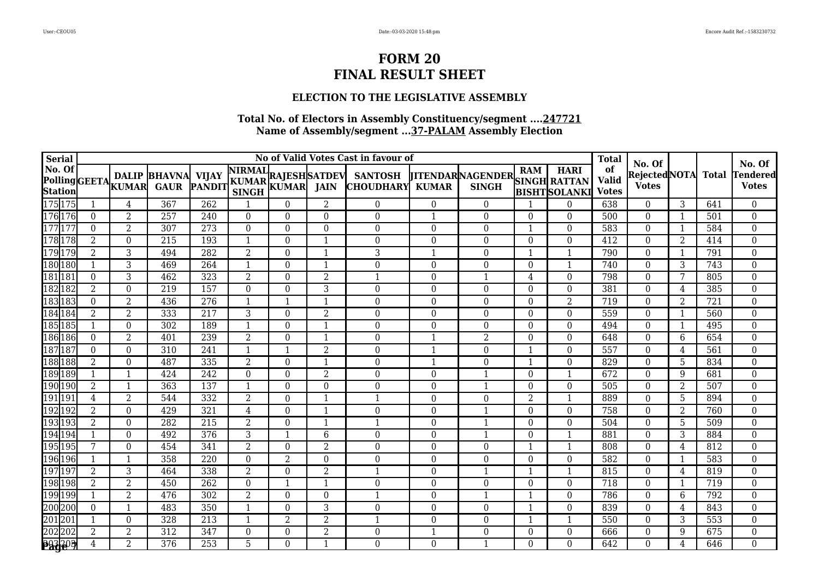### **ELECTION TO THE LEGISLATIVE ASSEMBLY**

| <b>Serial</b> |                |                  |                                                      |                  |                                             |              |                         | No of Valid Votes Cast in favour of      |                  |                                                      |                |                         | <b>Total</b>                       |                                         |                |                  | No. Of                          |
|---------------|----------------|------------------|------------------------------------------------------|------------------|---------------------------------------------|--------------|-------------------------|------------------------------------------|------------------|------------------------------------------------------|----------------|-------------------------|------------------------------------|-----------------------------------------|----------------|------------------|---------------------------------|
| No. Of        |                |                  | <b>DALIP BHAVNA VIJAY</b><br>PollingGEETA KUMAR GAUR |                  | A VIJAY NIRMAL<br>PANDIT KUMAR KUMAR JAIN C |              |                         | <b>SANTOSH</b><br><b>CHOUDHARY KUMAR</b> |                  | <b>TITENDARNAGENDER</b> SINGH RATTAN<br><b>SINGH</b> |                | <b>BISHTSOLANKI</b>     | of<br><b>Valid</b><br><b>Votes</b> | No. Of<br>Rejected NOTA<br><b>Votes</b> |                | <b>Total</b>     | <b>Tendered</b><br><b>Votes</b> |
| 175175        |                | 4                | $\overline{367}$                                     | $\overline{262}$ |                                             | $\Omega$     | 2                       | $\overline{0}$                           | $\theta$         | $\overline{0}$                                       |                | $\boldsymbol{0}$        | 638                                | $\theta$                                | 3              | 641              | $\overline{0}$                  |
| 176176        | $\Omega$       | $\overline{2}$   | 257                                                  | 240              | $\Omega$                                    | $\Omega$     | $\Omega$                | $\Omega$                                 | $\mathbf 1$      | $\Omega$                                             | $\Omega$       | $\Omega$                | 500                                | $\theta$                                | $\overline{1}$ | 501              | $\boldsymbol{0}$                |
| $177$ $17'$   | $\Omega$       | $\overline{2}$   | 307                                                  | 273              | $\Omega$                                    | $\Omega$     | $\Omega$                | $\theta$                                 | $\Omega$         | $\Omega$                                             | $\mathbf{1}$   | $\theta$                | 583                                | $\theta$                                | $\mathbf{1}$   | 584              | $\mathbf{0}$                    |
| 178178        | $\overline{2}$ | $\mathbf{0}$     | 215                                                  | 193              | 1                                           | $\Omega$     | $\overline{\mathbf{1}}$ | $\theta$                                 | $\theta$         | $\Omega$                                             | $\theta$       | $\mathbf{0}$            | 412                                | $\theta$                                | $\overline{2}$ | 414              | $\boldsymbol{0}$                |
| 179179        | 2              | 3                | 494                                                  | 282              | 2                                           | $\Omega$     | $\overline{\mathbf{1}}$ | 3                                        |                  | $\Omega$                                             | $\mathbf 1$    | $\overline{\mathbf{1}}$ | 790                                | $\theta$                                | -1             | 791              | $\boldsymbol{0}$                |
| 180 180       |                | $\overline{3}$   | 469                                                  | 264              | 1                                           | $\Omega$     | $\mathbf 1$             | $\overline{0}$                           | $\Omega$         | $\Omega$                                             | $\theta$       | $\overline{\mathbf{1}}$ | 740                                | $\theta$                                | 3              | 743              | $\boldsymbol{0}$                |
| 18118         | $\Omega$       | $\sqrt{3}$       | 462                                                  | 323              | 2                                           | $\Omega$     | $\overline{2}$          |                                          | $\Omega$         | $\mathbf{1}$                                         | 4              | $\theta$                | 798                                | $\theta$                                | 7              | 805              | $\mathbf{0}$                    |
| 182 182       | 2              | $\boldsymbol{0}$ | 219                                                  | 157              | $\Omega$                                    | $\Omega$     | 3                       | $\Omega$                                 | $\Omega$         | $\Omega$                                             | $\theta$       | $\theta$                | 381                                | $\theta$                                | 4              | 385              | $\boldsymbol{0}$                |
| 18318.        | $\mathbf{0}$   | $\overline{2}$   | 436                                                  | 276              | -1                                          |              | $\overline{1}$          | $\overline{0}$                           | $\theta$         | $\boldsymbol{0}$                                     | $\theta$       | $\overline{2}$          | 719                                | $\theta$                                | 2              | 721              | $\boldsymbol{0}$                |
| 184184        | 2              | $\overline{2}$   | 333                                                  | 217              | 3                                           | $\Omega$     | $\overline{2}$          | $\overline{0}$                           | $\Omega$         | $\Omega$                                             | $\Omega$       | $\Omega$                | 559                                | $\theta$                                | $\mathbf{1}$   | 560              | $\boldsymbol{0}$                |
| 185185        | 1              | $\theta$         | $\overline{302}$                                     | 189              | $\mathbf 1$                                 | $\Omega$     | $\mathbf{1}$            | $\overline{0}$                           | $\Omega$         | $\Omega$                                             | $\Omega$       | $\mathbf{0}$            | 494                                | $\Omega$                                | $\mathbf{1}$   | 495              | $\mathbf{0}$                    |
| 186 186       | $\Omega$       | $\overline{2}$   | 401                                                  | 239              | $\overline{2}$                              | $\Omega$     | $\mathbf{1}$            | 0                                        | $\mathbf 1$      | $\overline{2}$                                       | $\theta$       | $\mathbf{0}$            | 648                                | $\theta$                                | $6\phantom{1}$ | 654              | $\boldsymbol{0}$                |
| 18718′        | $\Omega$       | $\theta$         | 310                                                  | 241              | $\mathbf{1}$                                |              | $\overline{2}$          | $\Omega$                                 | $\mathbf 1$      | $\Omega$                                             | $\mathbf 1$    | $\theta$                | 557                                | $\theta$                                | 4              | 561              | $\boldsymbol{0}$                |
| 188 188       | $\overline{2}$ | $\overline{0}$   | 487                                                  | 335              | $\overline{2}$                              | $\Omega$     | -1                      | $\Omega$                                 | -1               | $\Omega$                                             | -1             | $\theta$                | 829                                | $\theta$                                | 5              | 834              | $\mathbf{0}$                    |
| 189 189       |                | $\mathbf{1}$     | 424                                                  | 242              | $\overline{0}$                              | $\Omega$     | $\overline{2}$          | $\overline{0}$                           | $\Omega$         | 1                                                    | $\theta$       | $\mathbf{1}$            | 672                                | $\theta$                                | 9              | 681              | $\boldsymbol{0}$                |
| 190 190       | $\overline{2}$ |                  | 363                                                  | 137              |                                             | $\Omega$     | $\Omega$                | $\theta$                                 | $\Omega$         |                                                      | $\theta$       | $\mathbf{0}$            | 505                                | $\theta$                                | $\overline{2}$ | 507              | $\boldsymbol{0}$                |
| 191191        | $\overline{4}$ | $\overline{2}$   | 544                                                  | 332              | $\overline{2}$                              | $\Omega$     | $\overline{1}$          |                                          | $\theta$         | $\boldsymbol{0}$                                     | $\overline{2}$ | $\overline{\mathbf{1}}$ | 889                                | $\theta$                                | 5              | 894              | $\boldsymbol{0}$                |
| 192192        | 2              | $\boldsymbol{0}$ | 429                                                  | 321              | 4                                           | $\Omega$     | $\overline{1}$          | $\overline{0}$                           | $\Omega$         |                                                      | $\theta$       | $\theta$                | 758                                | $\theta$                                | $\overline{2}$ | 760              | $\mathbf{0}$                    |
| 193193        | $\overline{2}$ | $\theta$         | 282                                                  | 215              | $\overline{2}$                              | $\Omega$     | $\overline{1}$          |                                          | $\theta$         | -1                                                   | $\Omega$       | $\theta$                | 504                                | $\Omega$                                | 5              | 509              | $\mathbf{0}$                    |
| 194194        |                | $\mathbf{0}$     | 492                                                  | 376              | $\overline{3}$                              |              | 6                       | $\boldsymbol{0}$                         | $\theta$         |                                                      | $\theta$       | $\mathbf{1}$            | 881                                | $\theta$                                | $\overline{3}$ | 884              | $\overline{0}$                  |
| 195195        | 7              | $\mathbf{0}$     | 454                                                  | 341              | $\overline{2}$                              | $\Omega$     | $\overline{2}$          | $\theta$                                 | $\Omega$         | $\Omega$                                             | $\mathbf{1}$   | $\overline{\mathbf{1}}$ | 808                                | $\theta$                                | 4              | 812              | $\mathbf 0$                     |
| 196196        |                | -1               | 358                                                  | $\overline{220}$ | $\Omega$                                    | 2            | $\Omega$                | 0                                        | $\Omega$         | $\Omega$                                             | $\Omega$       | $\theta$                | 582                                | $\Omega$                                | 1              | $\overline{583}$ | $\mathbf{0}$                    |
| 197197        | $\overline{2}$ | 3                | 464                                                  | 338              | $\overline{2}$                              | $\Omega$     | $\overline{2}$          |                                          | $\Omega$         | 1                                                    | 1              | $\overline{1}$          | 815                                | $\theta$                                | 4              | 819              | $\overline{0}$                  |
| 198198        | $\overline{2}$ | $\overline{2}$   | 450                                                  | 262              | $\Omega$                                    |              | -1                      | $\theta$                                 | $\Omega$         | $\boldsymbol{0}$                                     | $\theta$       | $\theta$                | 718                                | $\theta$                                | -1             | 719              | $\mathbf{0}$                    |
| 199199        | 1              | $\overline{2}$   | 476                                                  | $\overline{302}$ | 2                                           | $\mathbf{0}$ | $\boldsymbol{0}$        |                                          | $\boldsymbol{0}$ | $\mathbf{1}$                                         | $\mathbf 1$    | $\boldsymbol{0}$        | 786                                | $\boldsymbol{0}$                        | 6              | 792              | $\mathbf 0$                     |
| 200200        | $\Omega$       | $\mathbf{1}$     | 483                                                  | 350              | 1                                           | $\Omega$     | 3                       | $\boldsymbol{0}$                         | $\Omega$         | $\boldsymbol{0}$                                     | $\mathbf 1$    | $\theta$                | 839                                | $\theta$                                | 4              | 843              | $\mathbf{0}$                    |
| 201 201       | 1              | $\boldsymbol{0}$ | 328                                                  | 213              | 1                                           | 2            | $\overline{2}$          |                                          | $\Omega$         | $\Omega$                                             | $\mathbf 1$    | $\overline{\mathbf{1}}$ | 550                                | $\Omega$                                | 3              | 553              | $\mathbf 0$                     |
| 202202        | $\overline{2}$ | $\overline{2}$   | 312                                                  | 347              | $\mathbf{0}$                                | $\Omega$     | $\overline{2}$          | 0                                        |                  | $\boldsymbol{0}$                                     | $\mathbf{0}$   | $\boldsymbol{0}$        | 666                                | $\boldsymbol{0}$                        | 9              | 675              | $\boldsymbol{0}$                |
| <b>293203</b> | 4              | $\overline{2}$   | 376                                                  | 253              | 5                                           | $\Omega$     | $\mathbf 1$             | $\Omega$                                 | $\theta$         | $\mathbf{1}$                                         | $\Omega$       | $\theta$                | 642                                | $\Omega$                                | 4              | 646              | $\mathbf{0}$                    |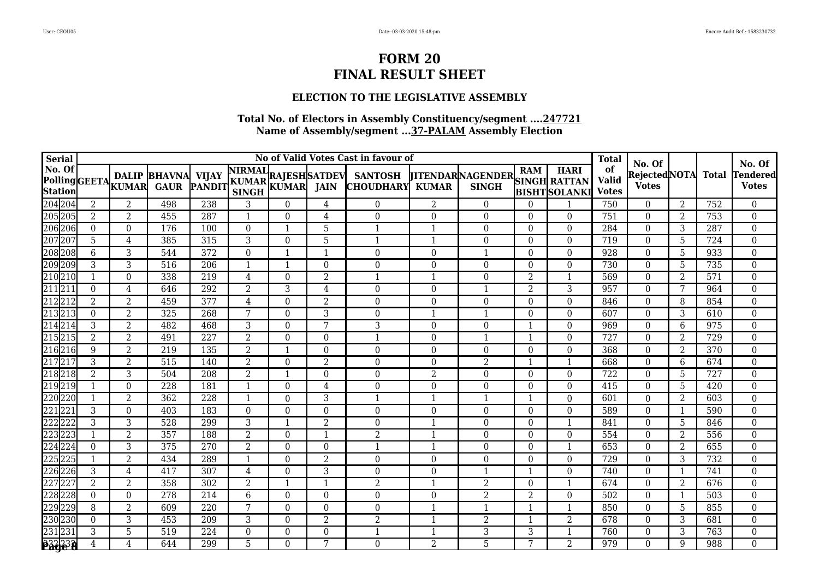### **ELECTION TO THE LEGISLATIVE ASSEMBLY**

| <b>Serial</b> |                |                  |                                                 |                  |                                                        |          |                | No of Valid Votes Cast in favour of |                  |                                                      |                |                         | <b>Total</b>                       |                                           |                |                  |                                           |
|---------------|----------------|------------------|-------------------------------------------------|------------------|--------------------------------------------------------|----------|----------------|-------------------------------------|------------------|------------------------------------------------------|----------------|-------------------------|------------------------------------|-------------------------------------------|----------------|------------------|-------------------------------------------|
| No. Of        |                |                  | <b>DALIP BHAVNA</b><br>Polling GEETA KUMAR GAUR |                  | A VIJAY KUMAR RAJESH SATDEV PANDIT KUMAR KUMAR JAIN C. |          |                | <b>SANTOSH</b><br><b>CHOUDHARY</b>  | <b>KUMAR</b>     | <b>TITENDARNAGENDER</b> SINGH RATTAN<br><b>SINGH</b> |                | <b>BISHTSOLANKI</b>     | of<br><b>Valid</b><br><b>Votes</b> | No. Of<br> Rejected NOTA <br><b>Votes</b> |                | <b>Total</b>     | No. Of<br><b>Tendered</b><br><b>Votes</b> |
| 204 204       | 2              | 2                | 498                                             | 238              | 3                                                      | 0        | 4              | $\Omega$                            | 2                | $\Omega$                                             | $\Omega$       |                         | 750                                | $\Omega$                                  | 2              | 752              | $\mathbf{0}$                              |
| 205205        | $\overline{2}$ | $\overline{2}$   | 455                                             | 287              | $\mathbf 1$                                            | $\Omega$ | 4              | $\boldsymbol{0}$                    | $\boldsymbol{0}$ | $\Omega$                                             | $\theta$       | $\theta$                | 751                                | $\theta$                                  | 2              | 753              | $\mathbf 0$                               |
| 206206        | $\Omega$       | $\theta$         | 176                                             | 100              | $\Omega$                                               |          | 5              |                                     |                  | $\Omega$                                             | $\Omega$       | $\theta$                | 284                                | $\theta$                                  | 3              | 287              | $\boldsymbol{0}$                          |
| 207207        | 5              | 4                | 385                                             | 315              | 3                                                      | $\Omega$ | 5              |                                     |                  | $\boldsymbol{0}$                                     | $\theta$       | $\theta$                | 719                                | $\theta$                                  | 5              | 724              | $\mathbf 0$                               |
| 208208        | 6              | 3                | 544                                             | 372              | $\Omega$                                               |          | $\mathbf{1}$   | $\theta$                            | $\Omega$         |                                                      | $\Omega$       | $\theta$                | 928                                | $\theta$                                  | 5              | 933              | $\mathbf{0}$                              |
| 209209        | 3              | $\sqrt{3}$       | 516                                             | 206              | -1                                                     |          | $\Omega$       | $\Omega$                            | $\Omega$         | $\Omega$                                             | $\Omega$       | $\Omega$                | 730                                | $\Omega$                                  | 5              | 735              | $\mathbf{0}$                              |
| 210 210       |                | $\boldsymbol{0}$ | 338                                             | 219              | 4                                                      | $\Omega$ | $\overline{2}$ | 1                                   | $\mathbf 1$      | $\Omega$                                             | $\overline{2}$ | $\overline{\mathbf{1}}$ | 569                                | $\theta$                                  | $\overline{2}$ | 571              | $\mathbf{0}$                              |
| 211211        | $\Omega$       | 4                | 646                                             | 292              | 2                                                      | 3        | 4              | $\Omega$                            | $\Omega$         | 1                                                    | $\overline{2}$ | 3                       | 957                                | $\Omega$                                  | 7              | 964              | $\boldsymbol{0}$                          |
| 21221         | $\overline{2}$ | $\overline{2}$   | 459                                             | 377              | 4                                                      | $\theta$ | $\overline{2}$ | $\Omega$                            | $\Omega$         | $\Omega$                                             | $\theta$       | $\theta$                | 846                                | $\theta$                                  | 8              | 854              | $\boldsymbol{0}$                          |
| 21321         | $\Omega$       | 2                | 325                                             | 268              | 7                                                      | $\Omega$ | 3              | $\Omega$                            |                  |                                                      | $\Omega$       | $\theta$                | 607                                | $\Omega$                                  | 3              | 610              | $\boldsymbol{0}$                          |
| 21421         | 3              | $\overline{2}$   | 482                                             | 468              | 3                                                      | $\Omega$ | 7              | 3                                   | $\Omega$         | $\boldsymbol{0}$                                     | $\mathbf{1}$   | $\mathbf{0}$            | 969                                | $\theta$                                  | 6              | $\overline{975}$ | $\boldsymbol{0}$                          |
| 21521         | 2              | $\overline{2}$   | 491                                             | $\overline{227}$ | $\overline{2}$                                         | $\Omega$ | $\Omega$       |                                     | $\Omega$         | 1                                                    | $\mathbf 1$    | $\mathbf{0}$            | $\overline{727}$                   | $\theta$                                  | 2              | $\overline{729}$ | $\boldsymbol{0}$                          |
| 21621         | 9              | $\overline{2}$   | 219                                             | 135              | $\overline{2}$                                         |          | $\Omega$       | 0                                   | $\theta$         | $\boldsymbol{0}$                                     | $\theta$       | $\mathbf{0}$            | 368                                | $\theta$                                  | $\overline{2}$ | 370              | $\mathbf{0}$                              |
| 21721         | 3              | $\overline{2}$   | $\overline{515}$                                | 140              | 2                                                      | $\Omega$ | 2              | 0                                   | $\Omega$         | $\overline{2}$                                       | -1             | $\mathbf{1}$            | 668                                | $\theta$                                  | 6              | 674              | $\mathbf{0}$                              |
| 21821         | $\overline{2}$ | 3                | 504                                             | 208              | $\overline{2}$                                         |          | $\Omega$       | 0                                   | $\overline{2}$   | $\boldsymbol{0}$                                     | $\theta$       | $\boldsymbol{0}$        | 722                                | $\boldsymbol{0}$                          | 5              | 727              | $\mathbf 0$                               |
| 219219        | 1              | $\boldsymbol{0}$ | 228                                             | 181              | 1                                                      | $\Omega$ | 4              | $\theta$                            | $\theta$         | $\boldsymbol{0}$                                     | $\theta$       | $\theta$                | 415                                | $\theta$                                  | 5              | 420              | $\boldsymbol{0}$                          |
| 220220        | 1              | $\overline{2}$   | 362                                             | 228              | 1                                                      | $\Omega$ | 3              |                                     |                  | $\mathbf{1}$                                         | $\mathbf 1$    | $\boldsymbol{0}$        | 601                                | $\mathbf{0}$                              | 2              | 603              | $\mathbf{0}$                              |
| 221222        | 3              | $\theta$         | 403                                             | 183              | $\Omega$                                               | $\Omega$ | $\Omega$       | $\boldsymbol{0}$                    | $\boldsymbol{0}$ | $\Omega$                                             | $\Omega$       | $\theta$                | 589                                | $\theta$                                  | 1              | 590              | $\boldsymbol{0}$                          |
| 222222        | 3              | 3                | 528                                             | 299              | 3                                                      | -1       | 2              | 0                                   | $\mathbf 1$      | $\Omega$                                             | $\theta$       | $\overline{\mathbf{1}}$ | 841                                | $\Omega$                                  | 5              | 846              | $\boldsymbol{0}$                          |
| 223223        | $\mathbf{1}$   | $\overline{2}$   | 357                                             | 188              | $\overline{2}$                                         | $\Omega$ | $\mathbf{1}$   | $\overline{2}$                      | $\mathbf 1$      | $\Omega$                                             | $\theta$       | $\Omega$                | 554                                | $\theta$                                  | $\overline{2}$ | 556              | $\boldsymbol{0}$                          |
| 224224        | $\Omega$       | 3                | 375                                             | 270              | 2                                                      | $\Omega$ | $\Omega$       |                                     |                  | $\Omega$                                             | $\Omega$       | $\overline{\mathbf{1}}$ | 653                                | $\Omega$                                  | 2              | 655              | $\boldsymbol{0}$                          |
| 22522         |                | $\overline{2}$   | 434                                             | 289              | 1                                                      | $\Omega$ | $\overline{2}$ | $\overline{0}$                      | $\mathbf{0}$     | $\Omega$                                             | $\Omega$       | $\theta$                | $\overline{729}$                   | $\theta$                                  | 3              | $\overline{732}$ | $\boldsymbol{0}$                          |
| 226226        | 3              | 4                | 417                                             | 307              | 4                                                      | $\Omega$ | 3              | 0                                   | $\mathbf{0}$     | $\mathbf{1}$                                         | -1             | $\theta$                | 740                                | $\theta$                                  | -1             | 741              | $\boldsymbol{0}$                          |
| 22722         | $\overline{2}$ | $\overline{2}$   | 358                                             | 302              | $\overline{2}$                                         |          | $\mathbf{1}$   | $\overline{2}$                      |                  | $\overline{2}$                                       | $\theta$       | $\mathbf{1}$            | 674                                | $\theta$                                  | $\overline{2}$ | 676              | $\mathbf{0}$                              |
| 228228        | $\Omega$       | $\overline{0}$   | 278                                             | 214              | 6                                                      | $\Omega$ | $\Omega$       | 0                                   | $\Omega$         | $\overline{2}$                                       | $\overline{2}$ | $\theta$                | 502                                | $\theta$                                  | -1             | 503              | $\boldsymbol{0}$                          |
| 229229        | 8              | $\overline{2}$   | 609                                             | 220              | 7                                                      | $\Omega$ | $\Omega$       | 0                                   |                  | 1                                                    | -1             |                         | 850                                | $\theta$                                  | 5              | 855              | $\boldsymbol{0}$                          |
| 230230        | $\Omega$       | $\sqrt{3}$       | 453                                             | 209              | 3                                                      | $\Omega$ | 2              | $\overline{2}$                      |                  | $\overline{2}$                                       | -1             | $\overline{2}$          | 678                                | $\Omega$                                  | 3              | 681              | $\boldsymbol{0}$                          |
| 23123         | 3              | 5                | $\overline{519}$                                | 224              | $\Omega$                                               | $\Omega$ | $\Omega$       |                                     |                  | 3                                                    | 3              | $\mathbf{1}$            | 760                                | $\theta$                                  | 3              | 763              | $\mathbf{0}$                              |
| <b>B32232</b> | 4              | 4                | 644                                             | 299              | 5                                                      | $\Omega$ | 7              | $\Omega$                            | 2                | 5                                                    | 7              | $\overline{2}$          | 979                                | $\Omega$                                  | 9              | 988              | $\mathbf{0}$                              |